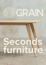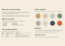# **Shop our seconds items**

Since making the responsible decision to offer furniture in a range of sizes as opposed to creating waste through exact dimension requests, we now have a selection of seconds products which cannot be sold through our website.

**[Brenin bench](https://grain.co.uk/furniture/brenin-bench/)** [Brenin desk](https://grain.co.uk/furniture/brenin-desk/) • [Birnam stool](https://grain.co.uk/furniture/birnam-stool/)

We are all about keeping our furniture being used for as long as possible, in your homes and far away from landfill. Buying from our seconds range allows you to do exactly that!

## **What's for sale?** The sale of the sale of the sale of the sale of the sale of the sale of the sale of the sale of the sale of the sale of the sale of the sale of the sale of the sale of the sale of the sale of the sale of

- [Highbeach dining](https://grain.co.uk/furniture/highbeach-dining/)
- [Highbeach bench](https://grain.co.uk/furniture/highbeach-bench/)
- Materials: plywood sheets and linoleum

• [Brenin dining](https://grain.co.uk/furniture/brenin-dining/)

# **Finish options**

Our Brenin range is available two top choices: a classic oak veneer or coloured Linoleum.

| <b>Grade</b> | <b>Sample sale discount</b> | <b>Description</b>                            |
|--------------|-----------------------------|-----------------------------------------------|
|              | 20% off                     | Good as new                                   |
|              | 30% off                     | Minor dent/scratch, minor discolouration      |
|              | 40% off                     | Visible repair, more noticeable scratch/stain |

# **Delivery**

If you would like to visit us in person, we have space for parking and recommend bringing along some blankets or boxes to protect your furniture on it's way to your home.

Alternatively, we can deliver the furniture for you. See below for costs:

**Delivery within zones 1-3 = £25 Delivery outside zones 1-3 = £45** 

*Note: we will only be able to deliver products and table tops, not materials.*



We have a selection of tables, benches and desks, all at discounted prices. Click to learn more about each of our products:

#### **Our grading system**

Each item has been given a grade based on its condition: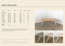# **Brenin dining table**

| <b>Finish</b>         | <b>Size</b>      | <b>Price</b> | <b>RRP</b> | <b>Grade</b>   | <b>Code</b> |
|-----------------------|------------------|--------------|------------|----------------|-------------|
| <b>Full product</b>   |                  |              |            |                |             |
| *Oak                  | $155 \times 90$  | £661         | £826       | B              | 48          |
| <i><b>*Powder</b></i> | $187 \times 75$  | £628         | £897       | B              | 118         |
| Powder                | $155 \times 80$  | £557         | £796       | B              | 39          |
| Powder                | $165 \times 80$  | £557         | £796       | B              | 53          |
| Powder                | 170 x 90         | £661         | £826       | $\mathsf{A}$   | 83          |
| Powder                | 180 x 75         | £637         | £796       | $\overline{A}$ | 128         |
| Olive                 | $150 \times 75$  | £377         | £628       | $\mathsf{C}$   | 117         |
| <b>Mushroom</b>       | $120 \times 80$  | £440         | £628       | B              | 127         |
| *Mushroom             | 160 x 90         | £578         | £681       | B              | 5           |
| <i>*Concrete</i>      | $160 \times 100$ | £620         | £886       | B              | 84          |
| Goldfish              | $175 \times 90$  | £496         | £826       | $\mathsf{C}$   | 90          |
| <b>Material</b>       |                  |              |            |                |             |
| <b>Slate</b>          | $150 \times 75$  | £90          |            |                | 96          |

*\* Anything marked with an asterisk requires new legs and supports to be cut. These product have a two week delivery period. Everything else listed is a full product, ready for immediate delivery.* 

Our Brenin Dining table has always been a Grain firm favourite, with a simple, elegant form and hard-wearing top options.

The Brenin is made from FSC certified birch plywood, with oak veneer on the underside. Our Brenin comes with two top choices; a classic oak veneer or soft, easy-clean Linoleum.









3 4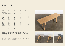#### **Brenin bench**

Our Brenin Bench is visually light but physically sturdy. Pair it with its matching Dining table counterpart, or solo as a standalone seating option.

Just like the rest of our Brenin range, it is made from FSC certified birch plywood, with oak veneer on the underside. It comes with two top choices; a classic oak veneer or soft, easyclean Linoleum.

| <b>Finish</b>           | <b>Size</b>     | <b>Price</b> | <b>RRP</b> | <b>Grade</b>   | Code |
|-------------------------|-----------------|--------------|------------|----------------|------|
| <b>Full product</b>     |                 |              |            |                |      |
| Oak (no support)        | $100 \times 33$ | £168         | £280       | $\mathsf{C}$   | 25   |
| Oak                     | 180 x 33        | £270         | £385       | B              | 23   |
| Oak                     | 180 x 33        | £270         | £385       | B              | 131  |
| <i><b>*Powder</b></i>   | $185 \times 33$ | £270         | £385       | B              | 106  |
| Powder                  | $115 \times 33$ | £221         | £315       | B              | 104  |
| Powder                  | $115 \times 33$ | £252         | £315       | A              | 105  |
| Mint                    | $110 \times 33$ | £196         | £280       | B              | 112  |
| Concrete                | $125 \times 33$ | £252         | £315       | A              | 34   |
| Mushroom                | 170 x 33        | £270         | £385       | $\mathsf B$    | 31   |
| *Mushroom               | $110 \times 33$ | £226         | £283       | A              | 30   |
| <b>Slate</b>            | $165 \times 33$ | £231         | £385       | $\mathsf C$    | 99   |
| <b>Slate</b>            | $150 \times 33$ | £280         | £350       | $\overline{A}$ | 98   |
| <b>Slate</b>            | $125 \times 33$ | £252         | £315       | A              | 36   |
| <i>*Slate</i>           | $110 \times 33$ | £188         | £283       | B              | 102  |
| <i><b>*Goldfish</b></i> | $180 \times 33$ | £270         | £385       | B              | 28   |
| <b>Material</b>         |                 |              |            |                |      |
| Oak                     | $195 \times 33$ | £50          |            |                | 85   |
| Goldfish                | $180 \times 33$ | £50          |            |                | 27   |

*\* Anything marked with an asterisk requires new legs and supports to be cut. These product have a two week delivery period. Everything else listed is a full product, ready for immediate delivery.* 







Oak veneer

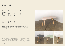## **Brenin desk**

The Brenin desk is available in 10cm length increments, so it'll fit perfectly in any workspace. It has a birch plywood core, with an oak veneer laminate. Oak veneer is beautiful, and by using it on most of our products, we help to reduce the demand for natural wood resources. The material offers the beauty of a real wood finish, all whilst using far less precious timber.

Likewise, we've put a lot of thought into our use of linoleum. Not only does it offer a unique, matt surface and a warm, fine texture, but it is recyclable, biodegradable and hard-wearing.

| <b>Finish</b>       | <b>Size</b>      | <b>Price</b> | <b>RRP</b> | <b>Grade</b>   | Code           |
|---------------------|------------------|--------------|------------|----------------|----------------|
| <b>Full product</b> |                  |              |            |                |                |
| Oak                 | $150 \times 90$  | £551         | £689       | $\overline{A}$ | 95             |
| Oak                 | $205 \times 103$ | £743         | £929       | A              | 6              |
| <i>*Powder</i>      | $110 \times 60$  | £354         | £443       | $\overline{A}$ | 67             |
| Mint                | $145 \times 73$  | £413         | £689       | $\mathsf{C}$   | $\overline{4}$ |
| Concrete            | $115 \times 80$  | £399         | £499       | $\overline{A}$ | 120            |
|                     |                  |              |            |                |                |
| <b>Material</b>     |                  |              |            |                |                |
| Oak                 | $115 \times 60$  | £90          |            |                | 56             |
| Powder              | $122 \times 64$  | £90          |            |                | 42             |
| Olive               | $105 \times 70$  | £90          |            |                | 16             |
| <b>Slate</b>        | $180 \times 75$  | £120         |            |                | 54             |

*\* Anything marked with an asterisk requires new legs and supports to be cut. These product have a two week delivery period. Everything else listed is a full product, ready for immediate delivery.* 









Slate Mushroom and Mint Mushroom and Mushroom and Mushroom and Mushroom and Mushroom

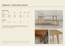# **Highbeach - dining table & bench**

#### **Dining tables**

| <b>Finish</b>           | <b>Size</b>     | <b>Price</b> | <b>RRP</b> | <b>Grade</b>            | Code |
|-------------------------|-----------------|--------------|------------|-------------------------|------|
| <b>Full product</b>     |                 |              |            |                         |      |
| <b>Natural</b>          | $140 \times 70$ | £598         | £748       | $\overline{A}$          | 78   |
| <b>Natural</b>          | $170 \times 80$ | £533         | £889       | $\mathsf{C}$            | 133  |
| <i><b>*Rich oak</b></i> | $210 \times 60$ | £768         | £960       | $\overline{\mathsf{A}}$ | 74   |
| <b>Benches</b>          |                 |              |            |                         |      |
| <b>Natural</b>          | $145 \times 33$ | £354         | £442       | A                       | 29   |

*\* Anything marked with an asterisk requires new legs and supports to be cut. These product have a two week delivery period. Everything else listed is a full product, ready for immediate delivery.* 



Our Highbeach range is a perfect example of responsible design. Constructed from PEFC certified and sustainably sourced oak, this durable table is a fantastic way of preserving the remarkable texture, feel and pattern of the material. Just like fingerprints, no two pieces will ever be the same.